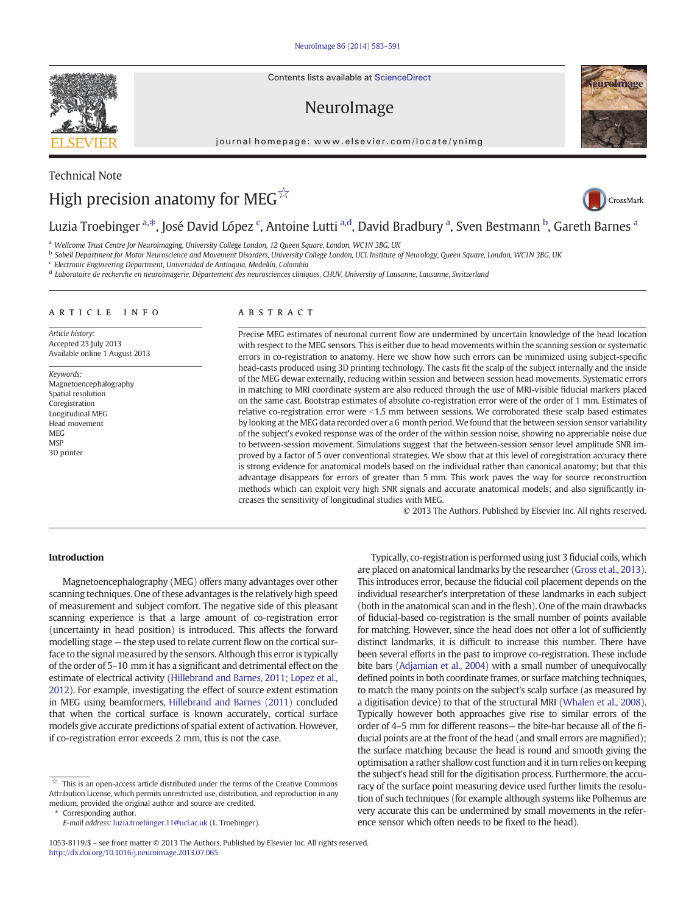Contents lists available at ScienceDirect

# NeuroImage

journal homepage: www.elsevier.com/locate/ynimg

# Technical Note High precision anatomy for MEG $\overleftrightarrow{\alpha}$



eurelmage

# Luzia Troebinger <sup>a,\*</sup>, José David López <sup>c</sup>, Antoine Lutti <sup>a,d</sup>, David Bradbury <sup>a</sup>, Sven Bestmann <sup>b</sup>, Gareth Barnes <sup>a</sup>

a Wellcome Trust Centre for Neuroimaging, University College London, 12 Queen Square, London, WC1N 3BG, UK

<sup>b</sup> Sobell Department for Motor Neuroscience and Movement Disorders, University College London, UCL Institute of Neurology, Queen Square, London, WC1N 3BG, UK

<sup>c</sup> Electronic Engineering Department, Universidad de Antioquia, Medellín, Colombia

<sup>d</sup> Laboratoire de recherche en neuroimagerie, Département des neurosciences cliniques, CHUV, University of Lausanne, Lausanne, Switzerland

#### article info abstract

Article history: Accepted 23 July 2013 Available online 1 August 2013

Keywords: Magnetoencephalography Spatial resolution Coregistration Longitudinal MEG Head movement MEG **MSP** 3D printer

Precise MEG estimates of neuronal current flow are undermined by uncertain knowledge of the head location with respect to the MEG sensors. This is either due to head movements within the scanning session or systematic errors in co-registration to anatomy. Here we show how such errors can be minimized using subject-specific head-casts produced using 3D printing technology. The casts fit the scalp of the subject internally and the inside of the MEG dewar externally, reducing within session and between session head movements. Systematic errors in matching to MRI coordinate system are also reduced through the use of MRI-visible fiducial markers placed on the same cast. Bootstrap estimates of absolute co-registration error were of the order of 1 mm. Estimates of relative co-registration error were  $\lt 1.5$  mm between sessions. We corroborated these scalp based estimates by looking at the MEG data recorded over a 6 month period. We found that the between session sensor variability of the subject's evoked response was of the order of the within session noise, showing no appreciable noise due to between-session movement. Simulations suggest that the between-session sensor level amplitude SNR improved by a factor of 5 over conventional strategies. We show that at this level of coregistration accuracy there is strong evidence for anatomical models based on the individual rather than canonical anatomy; but that this advantage disappears for errors of greater than 5 mm. This work paves the way for source reconstruction methods which can exploit very high SNR signals and accurate anatomical models; and also significantly increases the sensitivity of longitudinal studies with MEG.

© 2013 The Authors. Published by Elsevier Inc. All rights reserved.

# Introduction

Magnetoencephalography (MEG) offers many advantages over other scanning techniques. One of these advantages is the relatively high speed of measurement and subject comfort. The negative side of this pleasant scanning experience is that a large amount of co-registration error (uncertainty in head position) is introduced. This affects the forward modelling stage — the step used to relate current flow on the cortical surface to the signal measured by the sensors. Although this error is typically of the order of 5–10 mm it has a significant and detrimental effect on the estimate of electrical activity [\(Hillebrand and Barnes, 2011; Lopez et al.,](#page-8-0) [2012](#page-8-0)). For example, investigating the effect of source extent estimation in MEG using beamformers, [Hillebrand and Barnes \(2011\)](#page-8-0) concluded that when the cortical surface is known accurately, cortical surface models give accurate predictions of spatial extent of activation. However, if co-registration error exceeds 2 mm, this is not the case.

Corresponding author.

Typically, co-registration is performed using just 3 fiducial coils, which are placed on anatomical landmarks by the researcher [\(Gross et al., 2013](#page-8-0)). This introduces error, because the fiducial coil placement depends on the individual researcher's interpretation of these landmarks in each subject (both in the anatomical scan and in the flesh). One of the main drawbacks of fiducial-based co-registration is the small number of points available for matching. However, since the head does not offer a lot of sufficiently distinct landmarks, it is difficult to increase this number. There have been several efforts in the past to improve co-registration. These include bite bars ([Adjamian et al., 2004](#page-8-0)) with a small number of unequivocally defined points in both coordinate frames, or surface matching techniques, to match the many points on the subject's scalp surface (as measured by a digitisation device) to that of the structural MRI ([Whalen et al., 2008](#page-8-0)). Typically however both approaches give rise to similar errors of the order of 4–5 mm for different reasons— the bite-bar because all of the fiducial points are at the front of the head (and small errors are magnified); the surface matching because the head is round and smooth giving the optimisation a rather shallow cost function and it in turn relies on keeping the subject's head still for the digitisation process. Furthermore, the accuracy of the surface point measuring device used further limits the resolution of such techniques (for example although systems like Polhemus are very accurate this can be undermined by small movements in the reference sensor which often needs to be fixed to the head).



 $\overrightarrow{a}$  This is an open-access article distributed under the terms of the Creative Commons Attribution License, which permits unrestricted use, distribution, and reproduction in any medium, provided the original author and source are credited.

E-mail address: [luzia.troebinger.11@ucl.ac.uk](mailto:luzia.troebinger.11@ucl.ac.uk) (L. Troebinger).

<sup>1053-8119/\$</sup> – see front matter © 2013 The Authors. Published by Elsevier Inc. All rights reserved. <http://dx.doi.org/10.1016/j.neuroimage.2013.07.065>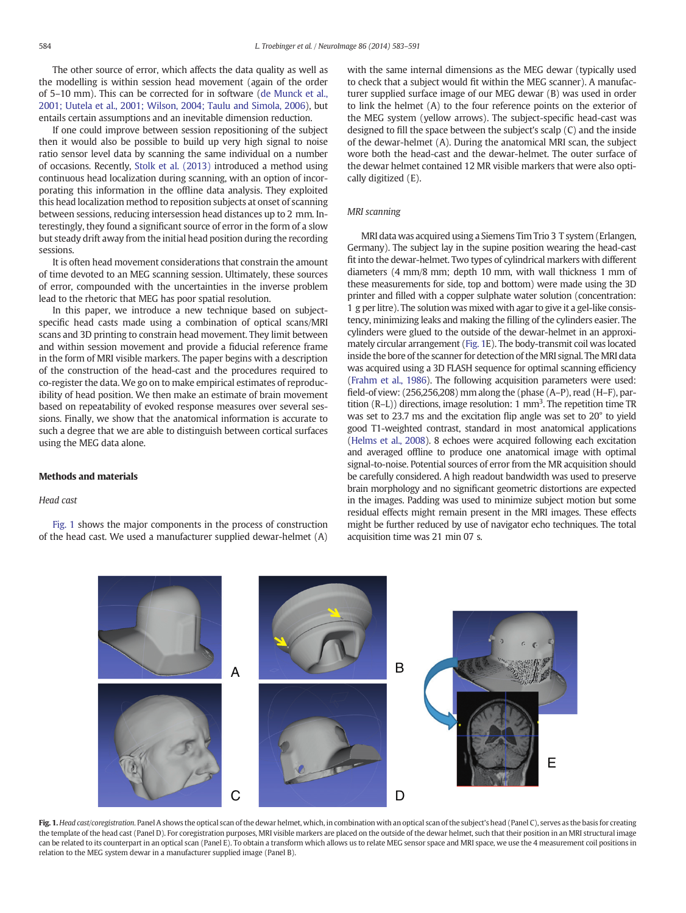<span id="page-1-0"></span>The other source of error, which affects the data quality as well as the modelling is within session head movement (again of the order of 5–10 mm). This can be corrected for in software [\(de Munck et al.,](#page-8-0) [2001; Uutela et al., 2001; Wilson, 2004; Taulu and Simola, 2006\)](#page-8-0), but entails certain assumptions and an inevitable dimension reduction.

If one could improve between session repositioning of the subject then it would also be possible to build up very high signal to noise ratio sensor level data by scanning the same individual on a number of occasions. Recently, [Stolk et al. \(2013\)](#page-8-0) introduced a method using continuous head localization during scanning, with an option of incorporating this information in the offline data analysis. They exploited this head localization method to reposition subjects at onset of scanning between sessions, reducing intersession head distances up to 2 mm. Interestingly, they found a significant source of error in the form of a slow but steady drift away from the initial head position during the recording sessions.

It is often head movement considerations that constrain the amount of time devoted to an MEG scanning session. Ultimately, these sources of error, compounded with the uncertainties in the inverse problem lead to the rhetoric that MEG has poor spatial resolution.

In this paper, we introduce a new technique based on subjectspecific head casts made using a combination of optical scans/MRI scans and 3D printing to constrain head movement. They limit between and within session movement and provide a fiducial reference frame in the form of MRI visible markers. The paper begins with a description of the construction of the head-cast and the procedures required to co-register the data. We go on to make empirical estimates of reproducibility of head position. We then make an estimate of brain movement based on repeatability of evoked response measures over several sessions. Finally, we show that the anatomical information is accurate to such a degree that we are able to distinguish between cortical surfaces using the MEG data alone.

#### Methods and materials

# Head cast

Fig. 1 shows the major components in the process of construction of the head cast. We used a manufacturer supplied dewar-helmet (A) with the same internal dimensions as the MEG dewar (typically used to check that a subject would fit within the MEG scanner). A manufacturer supplied surface image of our MEG dewar (B) was used in order to link the helmet (A) to the four reference points on the exterior of the MEG system (yellow arrows). The subject-specific head-cast was designed to fill the space between the subject's scalp (C) and the inside of the dewar-helmet (A). During the anatomical MRI scan, the subject wore both the head-cast and the dewar-helmet. The outer surface of the dewar helmet contained 12 MR visible markers that were also optically digitized (E).

# MRI scanning

MRI data was acquired using a Siemens Tim Trio 3 T system (Erlangen, Germany). The subject lay in the supine position wearing the head-cast fit into the dewar-helmet. Two types of cylindrical markers with different diameters (4 mm/8 mm; depth 10 mm, with wall thickness 1 mm of these measurements for side, top and bottom) were made using the 3D printer and filled with a copper sulphate water solution (concentration: 1 g per litre). The solution was mixed with agar to give it a gel-like consistency, minimizing leaks and making the filling of the cylinders easier. The cylinders were glued to the outside of the dewar-helmet in an approximately circular arrangement (Fig. 1E). The body-transmit coil was located inside the bore of the scanner for detection of the MRI signal. The MRI data was acquired using a 3D FLASH sequence for optimal scanning efficiency [\(Frahm et al., 1986](#page-8-0)). The following acquisition parameters were used: field-of view: (256,256,208) mm along the (phase (A–P), read (H–F), partition  $(R-L)$ ) directions, image resolution: 1 mm<sup>3</sup>. The repetition time TR was set to 23.7 ms and the excitation flip angle was set to 20° to yield good T1-weighted contrast, standard in most anatomical applications [\(Helms et al., 2008](#page-8-0)). 8 echoes were acquired following each excitation and averaged offline to produce one anatomical image with optimal signal-to-noise. Potential sources of error from the MR acquisition should be carefully considered. A high readout bandwidth was used to preserve brain morphology and no significant geometric distortions are expected in the images. Padding was used to minimize subject motion but some residual effects might remain present in the MRI images. These effects might be further reduced by use of navigator echo techniques. The total acquisition time was 21 min 07 s.



Fig. 1. Head cast/coregistration. Panel A shows the optical scan of the dewar helmet, which, in combination with an optical scan of the subject's head (Panel C), serves as the basis for creating the template of the head cast (Panel D). For coregistration purposes, MRI visible markers are placed on the outside of the dewar helmet, such that their position in an MRI structural image can be related to its counterpart in an optical scan (Panel E). To obtain a transform which allows us to relate MEG sensor space and MRI space, we use the 4 measurement coil positions in relation to the MEG system dewar in a manufacturer supplied image (Panel B).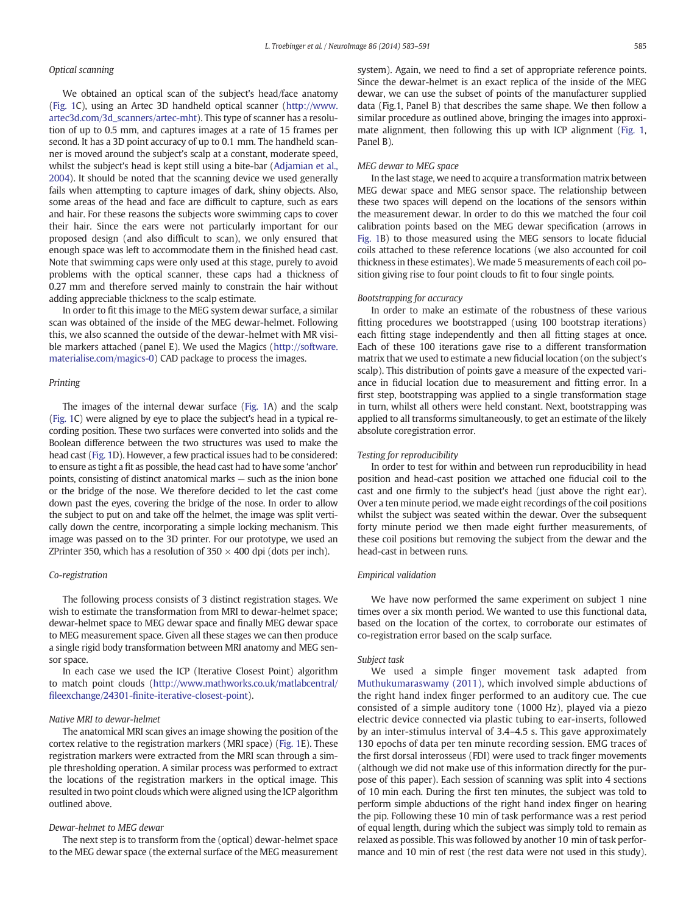# Optical scanning

We obtained an optical scan of the subject's head/face anatomy [\(Fig. 1C](#page-1-0)), using an Artec 3D handheld optical scanner ([http://www.](http://www.artec3d.com/3d_scanners/artec-mht) [artec3d.com/3d\\_scanners/artec-mht\)](http://www.artec3d.com/3d_scanners/artec-mht). This type of scanner has a resolution of up to 0.5 mm, and captures images at a rate of 15 frames per second. It has a 3D point accuracy of up to 0.1 mm. The handheld scanner is moved around the subject's scalp at a constant, moderate speed, whilst the subject's head is kept still using a bite-bar ([Adjamian et al.,](#page-8-0) [2004](#page-8-0)). It should be noted that the scanning device we used generally fails when attempting to capture images of dark, shiny objects. Also, some areas of the head and face are difficult to capture, such as ears and hair. For these reasons the subjects wore swimming caps to cover their hair. Since the ears were not particularly important for our proposed design (and also difficult to scan), we only ensured that enough space was left to accommodate them in the finished head cast. Note that swimming caps were only used at this stage, purely to avoid problems with the optical scanner, these caps had a thickness of 0.27 mm and therefore served mainly to constrain the hair without adding appreciable thickness to the scalp estimate.

In order to fit this image to the MEG system dewar surface, a similar scan was obtained of the inside of the MEG dewar-helmet. Following this, we also scanned the outside of the dewar-helmet with MR visible markers attached (panel E). We used the Magics ([http://software.](http://software.materialise.com/magics-0) [materialise.com/magics-0\)](http://software.materialise.com/magics-0) CAD package to process the images.

# Printing

The images of the internal dewar surface ([Fig. 1](#page-1-0)A) and the scalp [\(Fig. 1](#page-1-0)C) were aligned by eye to place the subject's head in a typical recording position. These two surfaces were converted into solids and the Boolean difference between the two structures was used to make the head cast [\(Fig. 1D](#page-1-0)). However, a few practical issues had to be considered: to ensure as tight a fit as possible, the head cast had to have some 'anchor' points, consisting of distinct anatomical marks — such as the inion bone or the bridge of the nose. We therefore decided to let the cast come down past the eyes, covering the bridge of the nose. In order to allow the subject to put on and take off the helmet, the image was split vertically down the centre, incorporating a simple locking mechanism. This image was passed on to the 3D printer. For our prototype, we used an ZPrinter 350, which has a resolution of  $350 \times 400$  dpi (dots per inch).

# Co-registration

The following process consists of 3 distinct registration stages. We wish to estimate the transformation from MRI to dewar-helmet space; dewar-helmet space to MEG dewar space and finally MEG dewar space to MEG measurement space. Given all these stages we can then produce a single rigid body transformation between MRI anatomy and MEG sensor space.

In each case we used the ICP (Iterative Closest Point) algorithm to match point clouds [\(http://www.mathworks.co.uk/matlabcentral/](http://www.mathworks.co.uk/matlabcentral/fileexchange/24301-finite-iterative-closest-point) fileexchange/24301-fi[nite-iterative-closest-point](http://www.mathworks.co.uk/matlabcentral/fileexchange/24301-finite-iterative-closest-point)).

#### Native MRI to dewar-helmet

The anatomical MRI scan gives an image showing the position of the cortex relative to the registration markers (MRI space) ([Fig. 1](#page-1-0)E). These registration markers were extracted from the MRI scan through a simple thresholding operation. A similar process was performed to extract the locations of the registration markers in the optical image. This resulted in two point clouds which were aligned using the ICP algorithm outlined above.

### Dewar-helmet to MEG dewar

The next step is to transform from the (optical) dewar-helmet space to the MEG dewar space (the external surface of the MEG measurement system). Again, we need to find a set of appropriate reference points. Since the dewar-helmet is an exact replica of the inside of the MEG dewar, we can use the subset of points of the manufacturer supplied data (Fig.1, Panel B) that describes the same shape. We then follow a similar procedure as outlined above, bringing the images into approximate alignment, then following this up with ICP alignment [\(Fig. 1,](#page-1-0) Panel B).

# MEG dewar to MEG space

In the last stage, we need to acquire a transformation matrix between MEG dewar space and MEG sensor space. The relationship between these two spaces will depend on the locations of the sensors within the measurement dewar. In order to do this we matched the four coil calibration points based on the MEG dewar specification (arrows in [Fig. 1](#page-1-0)B) to those measured using the MEG sensors to locate fiducial coils attached to these reference locations (we also accounted for coil thickness in these estimates). We made 5 measurements of each coil position giving rise to four point clouds to fit to four single points.

# Bootstrapping for accuracy

In order to make an estimate of the robustness of these various fitting procedures we bootstrapped (using 100 bootstrap iterations) each fitting stage independently and then all fitting stages at once. Each of these 100 iterations gave rise to a different transformation matrix that we used to estimate a new fiducial location (on the subject's scalp). This distribution of points gave a measure of the expected variance in fiducial location due to measurement and fitting error. In a first step, bootstrapping was applied to a single transformation stage in turn, whilst all others were held constant. Next, bootstrapping was applied to all transforms simultaneously, to get an estimate of the likely absolute coregistration error.

#### Testing for reproducibility

In order to test for within and between run reproducibility in head position and head-cast position we attached one fiducial coil to the cast and one firmly to the subject's head (just above the right ear). Over a ten minute period, we made eight recordings of the coil positions whilst the subject was seated within the dewar. Over the subsequent forty minute period we then made eight further measurements, of these coil positions but removing the subject from the dewar and the head-cast in between runs.

# Empirical validation

We have now performed the same experiment on subject 1 nine times over a six month period. We wanted to use this functional data, based on the location of the cortex, to corroborate our estimates of co-registration error based on the scalp surface.

#### Subject task

We used a simple finger movement task adapted from [Muthukumaraswamy \(2011\),](#page-8-0) which involved simple abductions of the right hand index finger performed to an auditory cue. The cue consisted of a simple auditory tone (1000 Hz), played via a piezo electric device connected via plastic tubing to ear-inserts, followed by an inter-stimulus interval of 3.4–4.5 s. This gave approximately 130 epochs of data per ten minute recording session. EMG traces of the first dorsal interosseus (FDI) were used to track finger movements (although we did not make use of this information directly for the purpose of this paper). Each session of scanning was split into 4 sections of 10 min each. During the first ten minutes, the subject was told to perform simple abductions of the right hand index finger on hearing the pip. Following these 10 min of task performance was a rest period of equal length, during which the subject was simply told to remain as relaxed as possible. This was followed by another 10 min of task performance and 10 min of rest (the rest data were not used in this study).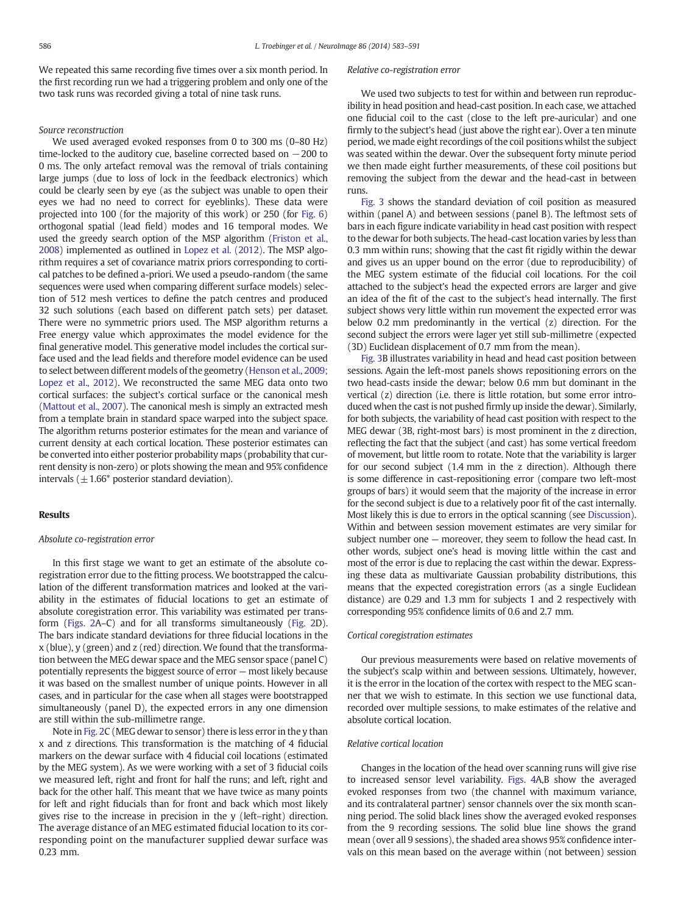We repeated this same recording five times over a six month period. In the first recording run we had a triggering problem and only one of the two task runs was recorded giving a total of nine task runs.

# Source reconstruction

We used averaged evoked responses from 0 to 300 ms (0–80 Hz) time-locked to the auditory cue, baseline corrected based on −200 to 0 ms. The only artefact removal was the removal of trials containing large jumps (due to loss of lock in the feedback electronics) which could be clearly seen by eye (as the subject was unable to open their eyes we had no need to correct for eyeblinks). These data were projected into 100 (for the majority of this work) or 250 (for [Fig. 6](#page-7-0)) orthogonal spatial (lead field) modes and 16 temporal modes. We used the greedy search option of the MSP algorithm ([Friston et al.,](#page-8-0) [2008\)](#page-8-0) implemented as outlined in [Lopez et al. \(2012\)](#page-8-0). The MSP algorithm requires a set of covariance matrix priors corresponding to cortical patches to be defined a-priori. We used a pseudo-random (the same sequences were used when comparing different surface models) selection of 512 mesh vertices to define the patch centres and produced 32 such solutions (each based on different patch sets) per dataset. There were no symmetric priors used. The MSP algorithm returns a Free energy value which approximates the model evidence for the final generative model. This generative model includes the cortical surface used and the lead fields and therefore model evidence can be used to select between different models of the geometry [\(Henson et al., 2009;](#page-8-0) [Lopez et al., 2012\)](#page-8-0). We reconstructed the same MEG data onto two cortical surfaces: the subject's cortical surface or the canonical mesh [\(Mattout et al., 2007](#page-8-0)). The canonical mesh is simply an extracted mesh from a template brain in standard space warped into the subject space. The algorithm returns posterior estimates for the mean and variance of current density at each cortical location. These posterior estimates can be converted into either posterior probability maps (probability that current density is non-zero) or plots showing the mean and 95% confidence intervals ( $\pm 1.66^*$  posterior standard deviation).

### Results

# Absolute co-registration error

In this first stage we want to get an estimate of the absolute coregistration error due to the fitting process. We bootstrapped the calculation of the different transformation matrices and looked at the variability in the estimates of fiducial locations to get an estimate of absolute coregistration error. This variability was estimated per transform ([Figs. 2A](#page-4-0)–C) and for all transforms simultaneously [\(Fig. 2](#page-4-0)D). The bars indicate standard deviations for three fiducial locations in the x (blue), y (green) and z (red) direction. We found that the transformation between the MEG dewar space and the MEG sensor space (panel C) potentially represents the biggest source of error — most likely because it was based on the smallest number of unique points. However in all cases, and in particular for the case when all stages were bootstrapped simultaneously (panel D), the expected errors in any one dimension are still within the sub-millimetre range.

Note in [Fig. 2C](#page-4-0) (MEG dewar to sensor) there is less error in the y than x and z directions. This transformation is the matching of 4 fiducial markers on the dewar surface with 4 fiducial coil locations (estimated by the MEG system). As we were working with a set of 3 fiducial coils we measured left, right and front for half the runs; and left, right and back for the other half. This meant that we have twice as many points for left and right fiducials than for front and back which most likely gives rise to the increase in precision in the y (left–right) direction. The average distance of an MEG estimated fiducial location to its corresponding point on the manufacturer supplied dewar surface was 0.23 mm.

#### Relative co-registration error

We used two subjects to test for within and between run reproducibility in head position and head-cast position. In each case, we attached one fiducial coil to the cast (close to the left pre-auricular) and one firmly to the subject's head (just above the right ear). Over a ten minute period, we made eight recordings of the coil positions whilst the subject was seated within the dewar. Over the subsequent forty minute period we then made eight further measurements, of these coil positions but removing the subject from the dewar and the head-cast in between runs.

[Fig. 3](#page-4-0) shows the standard deviation of coil position as measured within (panel A) and between sessions (panel B). The leftmost sets of bars in each figure indicate variability in head cast position with respect to the dewar for both subjects. The head-cast location varies by less than 0.3 mm within runs; showing that the cast fit rigidly within the dewar and gives us an upper bound on the error (due to reproducibility) of the MEG system estimate of the fiducial coil locations. For the coil attached to the subject's head the expected errors are larger and give an idea of the fit of the cast to the subject's head internally. The first subject shows very little within run movement the expected error was below 0.2 mm predominantly in the vertical (z) direction. For the second subject the errors were lager yet still sub-millimetre (expected (3D) Euclidean displacement of 0.7 mm from the mean).

[Fig. 3](#page-4-0)B illustrates variability in head and head cast position between sessions. Again the left-most panels shows repositioning errors on the two head-casts inside the dewar; below 0.6 mm but dominant in the vertical (z) direction (i.e. there is little rotation, but some error introduced when the cast is not pushed firmly up inside the dewar). Similarly, for both subjects, the variability of head cast position with respect to the MEG dewar (3B, right-most bars) is most prominent in the z direction, reflecting the fact that the subject (and cast) has some vertical freedom of movement, but little room to rotate. Note that the variability is larger for our second subject (1.4 mm in the z direction). Although there is some difference in cast-repositioning error (compare two left-most groups of bars) it would seem that the majority of the increase in error for the second subject is due to a relatively poor fit of the cast internally. Most likely this is due to errors in the optical scanning (see [Discussion\)](#page-6-0). Within and between session movement estimates are very similar for subject number one — moreover, they seem to follow the head cast. In other words, subject one's head is moving little within the cast and most of the error is due to replacing the cast within the dewar. Expressing these data as multivariate Gaussian probability distributions, this means that the expected coregistration errors (as a single Euclidean distance) are 0.29 and 1.3 mm for subjects 1 and 2 respectively with corresponding 95% confidence limits of 0.6 and 2.7 mm.

### Cortical coregistration estimates

Our previous measurements were based on relative movements of the subject's scalp within and between sessions. Ultimately, however, it is the error in the location of the cortex with respect to the MEG scanner that we wish to estimate. In this section we use functional data, recorded over multiple sessions, to make estimates of the relative and absolute cortical location.

# Relative cortical location

Changes in the location of the head over scanning runs will give rise to increased sensor level variability. [Figs. 4](#page-5-0)A,B show the averaged evoked responses from two (the channel with maximum variance, and its contralateral partner) sensor channels over the six month scanning period. The solid black lines show the averaged evoked responses from the 9 recording sessions. The solid blue line shows the grand mean (over all 9 sessions), the shaded area shows 95% confidence intervals on this mean based on the average within (not between) session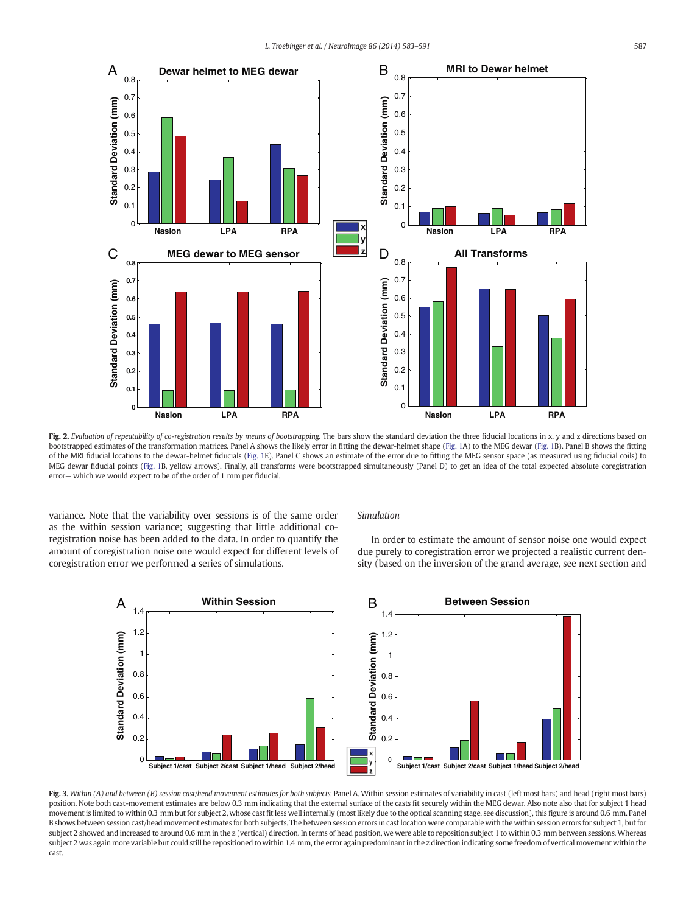<span id="page-4-0"></span>

Fig. 2. Evaluation of repeatability of co-registration results by means of bootstrapping. The bars show the standard deviation the three fiducial locations in x, y and z directions based on bootstrapped estimates of the transformation matrices. Panel A shows the likely error in fitting the dewar-helmet shape [\(Fig. 1A](#page-1-0)) to the MEG dewar ([Fig. 1B](#page-1-0)). Panel B shows the fitting of the MRI fiducial locations to the dewar-helmet fiducials ([Fig. 1E](#page-1-0)). Panel C shows an estimate of the error due to fitting the MEG sensor space (as measured using fiducial coils) to MEG dewar fiducial points ([Fig. 1](#page-1-0)B, yellow arrows). Finally, all transforms were bootstrapped simultaneously (Panel D) to get an idea of the total expected absolute coregistration error— which we would expect to be of the order of 1 mm per fiducial.

variance. Note that the variability over sessions is of the same order as the within session variance; suggesting that little additional coregistration noise has been added to the data. In order to quantify the amount of coregistration noise one would expect for different levels of coregistration error we performed a series of simulations.

### Simulation

In order to estimate the amount of sensor noise one would expect due purely to coregistration error we projected a realistic current density (based on the inversion of the grand average, see next section and



Fig. 3. Within (A) and between (B) session cast/head movement estimates for both subjects. Panel A. Within session estimates of variability in cast (left most bars) and head (right most bars) position. Note both cast-movement estimates are below 0.3 mm indicating that the external surface of the casts fit securely within the MEG dewar. Also note also that for subject 1 head movement is limited to within 0.3 mm but for subject 2, whose cast fit less well internally (most likely due to the optical scanning stage, see discussion), this figure is around 0.6 mm. Panel B shows between session cast/head movement estimates for both subjects. The between session errors in cast location were comparable with the within session errors for subject 1, but for subject 2 showed and increased to around 0.6 mm in the z (vertical) direction. In terms of head position, we were able to reposition subject 1 to within 0.3 mm between sessions. Whereas subject 2 was again more variable but could still be repositioned to within 1.4 mm, the error again predominant in the z direction indicating some freedom of vertical movement within the cast.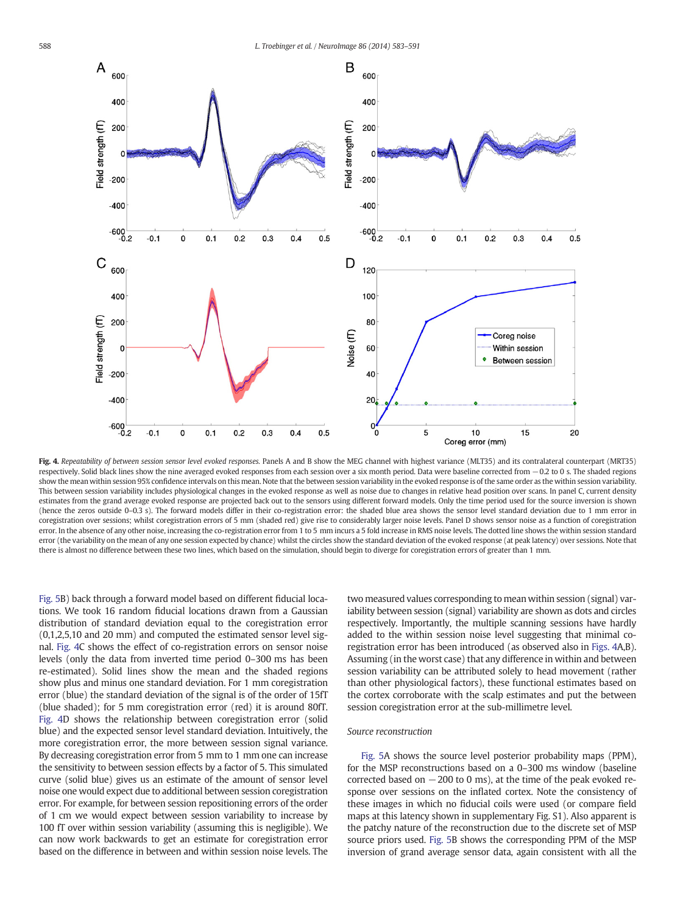<span id="page-5-0"></span>

Fig. 4. Repeatability of between session sensor level evoked responses. Panels A and B show the MEG channel with highest variance (MLT35) and its contralateral counterpart (MRT35) respectively. Solid black lines show the nine averaged evoked responses from each session over a six month period. Data were baseline corrected from −0.2 to 0 s. The shaded regions show the mean within session 95% confidence intervals on this mean. Note that the between session variability in the evoked response is of the same order as the within session variability. This between session variability includes physiological changes in the evoked response as well as noise due to changes in relative head position over scans. In panel C, current density estimates from the grand average evoked response are projected back out to the sensors using different forward models. Only the time period used for the source inversion is shown (hence the zeros outside 0–0.3 s). The forward models differ in their co-registration error: the shaded blue area shows the sensor level standard deviation due to 1 mm error in coregistration over sessions; whilst coregistration errors of 5 mm (shaded red) give rise to considerably larger noise levels. Panel D shows sensor noise as a function of coregistration error. In the absence of any other noise, increasing the co-registration error from 1 to 5 mm incurs a 5 fold increase in RMS noise levels. The dotted line shows the within session standard error (the variability on the mean of any one session expected by chance) whilst the circles show the standard deviation of the evoked response (at peak latency) over sessions. Note that there is almost no difference between these two lines, which based on the simulation, should begin to diverge for coregistration errors of greater than 1 mm.

[Fig. 5](#page-6-0)B) back through a forward model based on different fiducial locations. We took 16 random fiducial locations drawn from a Gaussian distribution of standard deviation equal to the coregistration error (0,1,2,5,10 and 20 mm) and computed the estimated sensor level signal. Fig. 4C shows the effect of co-registration errors on sensor noise levels (only the data from inverted time period 0–300 ms has been re-estimated). Solid lines show the mean and the shaded regions show plus and minus one standard deviation. For 1 mm coregistration error (blue) the standard deviation of the signal is of the order of 15fT (blue shaded); for 5 mm coregistration error (red) it is around 80fT. Fig. 4D shows the relationship between coregistration error (solid blue) and the expected sensor level standard deviation. Intuitively, the more coregistration error, the more between session signal variance. By decreasing coregistration error from 5 mm to 1 mm one can increase the sensitivity to between session effects by a factor of 5. This simulated curve (solid blue) gives us an estimate of the amount of sensor level noise one would expect due to additional between session coregistration error. For example, for between session repositioning errors of the order of 1 cm we would expect between session variability to increase by 100 fT over within session variability (assuming this is negligible). We can now work backwards to get an estimate for coregistration error based on the difference in between and within session noise levels. The two measured values corresponding to mean within session (signal) variability between session (signal) variability are shown as dots and circles respectively. Importantly, the multiple scanning sessions have hardly added to the within session noise level suggesting that minimal coregistration error has been introduced (as observed also in Figs. 4A,B). Assuming (in the worst case) that any difference in within and between session variability can be attributed solely to head movement (rather than other physiological factors), these functional estimates based on the cortex corroborate with the scalp estimates and put the between session coregistration error at the sub-millimetre level.

# Source reconstruction

[Fig. 5](#page-6-0)A shows the source level posterior probability maps (PPM), for the MSP reconstructions based on a 0–300 ms window (baseline corrected based on  $-200$  to 0 ms), at the time of the peak evoked response over sessions on the inflated cortex. Note the consistency of these images in which no fiducial coils were used (or compare field maps at this latency shown in supplementary Fig. S1). Also apparent is the patchy nature of the reconstruction due to the discrete set of MSP source priors used. [Fig. 5](#page-6-0)B shows the corresponding PPM of the MSP inversion of grand average sensor data, again consistent with all the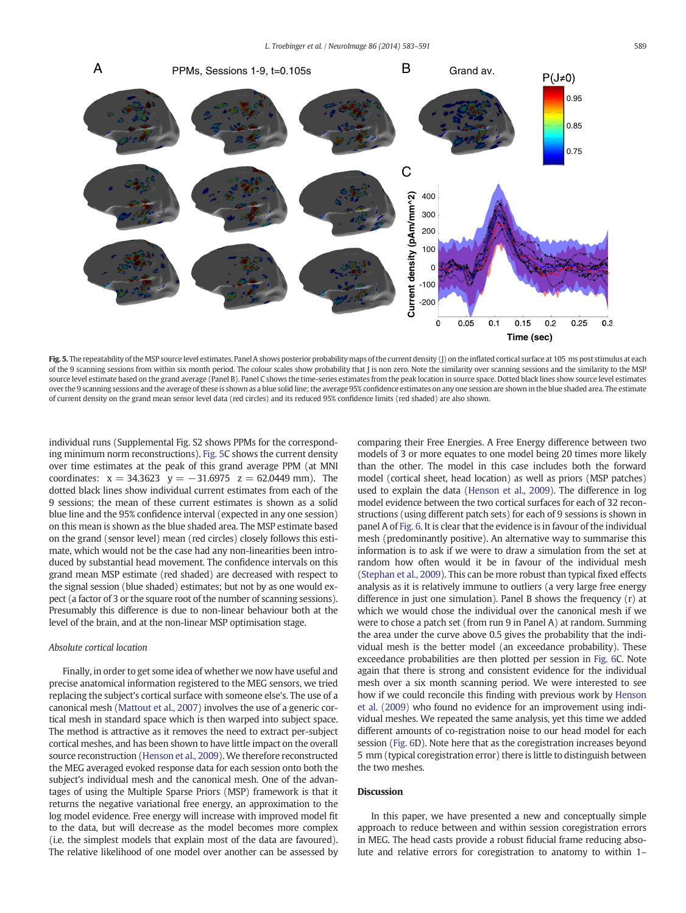<span id="page-6-0"></span>

Fig. 5. The repeatability of the MSP source level estimates. Panel A shows posterior probability maps of the current density (1) on the inflated cortical surface at 105 ms post stimulus at each of the 9 scanning sessions from within six month period. The colour scales show probability that J is non zero. Note the similarity over scanning sessions and the similarity to the MSP source level estimate based on the grand average (Panel B). Panel C shows the time-series estimates from the peak location in source space. Dotted black lines show source level estimates over the 9 scanning sessions and the average of these is shown as a blue solid line; the average 95% confidence estimates on any one session are shown in the blue shaded area. The estimate of current density on the grand mean sensor level data (red circles) and its reduced 95% confidence limits (red shaded) are also shown.

individual runs (Supplemental Fig. S2 shows PPMs for the corresponding minimum norm reconstructions). Fig. 5C shows the current density over time estimates at the peak of this grand average PPM (at MNI coordinates:  $x = 34.3623$   $y = -31.6975$   $z = 62.0449$  mm). The dotted black lines show individual current estimates from each of the 9 sessions; the mean of these current estimates is shown as a solid blue line and the 95% confidence interval (expected in any one session) on this mean is shown as the blue shaded area. The MSP estimate based on the grand (sensor level) mean (red circles) closely follows this estimate, which would not be the case had any non-linearities been introduced by substantial head movement. The confidence intervals on this grand mean MSP estimate (red shaded) are decreased with respect to the signal session (blue shaded) estimates; but not by as one would expect (a factor of 3 or the square root of the number of scanning sessions). Presumably this difference is due to non-linear behaviour both at the level of the brain, and at the non-linear MSP optimisation stage.

# Absolute cortical location

Finally, in order to get some idea of whether we now have useful and precise anatomical information registered to the MEG sensors, we tried replacing the subject's cortical surface with someone else's. The use of a canonical mesh ([Mattout et al., 2007\)](#page-8-0) involves the use of a generic cortical mesh in standard space which is then warped into subject space. The method is attractive as it removes the need to extract per-subject cortical meshes, and has been shown to have little impact on the overall source reconstruction ([Henson et al., 2009\)](#page-8-0). We therefore reconstructed the MEG averaged evoked response data for each session onto both the subject's individual mesh and the canonical mesh. One of the advantages of using the Multiple Sparse Priors (MSP) framework is that it returns the negative variational free energy, an approximation to the log model evidence. Free energy will increase with improved model fit to the data, but will decrease as the model becomes more complex (i.e. the simplest models that explain most of the data are favoured). The relative likelihood of one model over another can be assessed by

comparing their Free Energies. A Free Energy difference between two models of 3 or more equates to one model being 20 times more likely than the other. The model in this case includes both the forward model (cortical sheet, head location) as well as priors (MSP patches) used to explain the data ([Henson et al., 2009](#page-8-0)). The difference in log model evidence between the two cortical surfaces for each of 32 reconstructions (using different patch sets) for each of 9 sessions is shown in panel A of [Fig. 6](#page-7-0). It is clear that the evidence is in favour of the individual mesh (predominantly positive). An alternative way to summarise this information is to ask if we were to draw a simulation from the set at random how often would it be in favour of the individual mesh [\(Stephan et al., 2009\)](#page-8-0). This can be more robust than typical fixed effects analysis as it is relatively immune to outliers (a very large free energy difference in just one simulation). Panel B shows the frequency (r) at which we would chose the individual over the canonical mesh if we were to chose a patch set (from run 9 in Panel A) at random. Summing the area under the curve above 0.5 gives the probability that the individual mesh is the better model (an exceedance probability). These exceedance probabilities are then plotted per session in [Fig. 6](#page-7-0)C. Note again that there is strong and consistent evidence for the individual mesh over a six month scanning period. We were interested to see how if we could reconcile this finding with previous work by [Henson](#page-8-0) [et al. \(2009\)](#page-8-0) who found no evidence for an improvement using individual meshes. We repeated the same analysis, yet this time we added different amounts of co-registration noise to our head model for each session ([Fig. 6](#page-7-0)D). Note here that as the coregistration increases beyond 5 mm (typical coregistration error) there is little to distinguish between the two meshes.

# Discussion

In this paper, we have presented a new and conceptually simple approach to reduce between and within session coregistration errors in MEG. The head casts provide a robust fiducial frame reducing absolute and relative errors for coregistration to anatomy to within 1–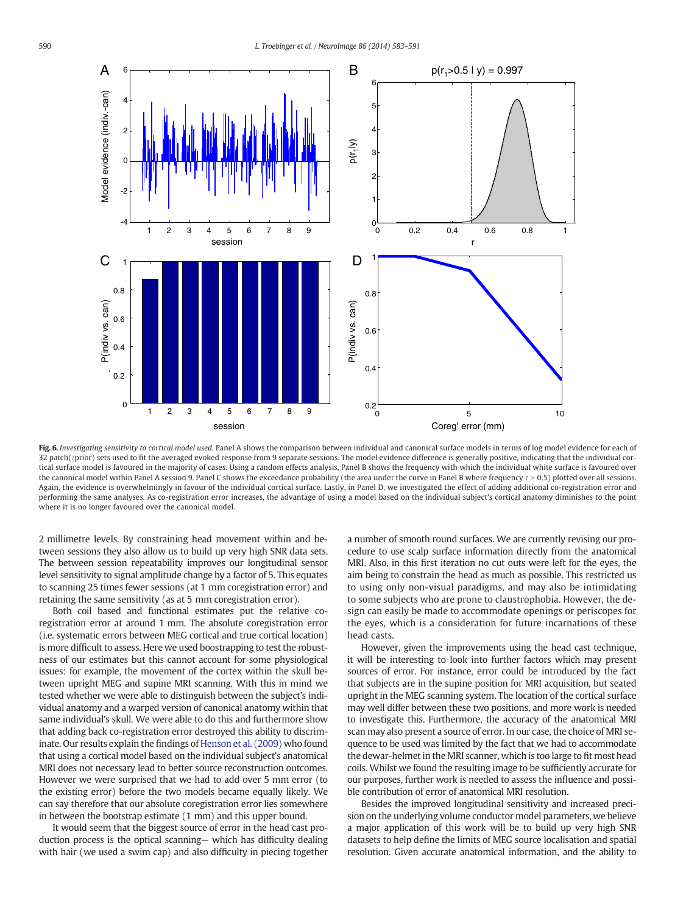<span id="page-7-0"></span>

Fig. 6. Investigating sensitivity to cortical model used. Panel A shows the comparison between individual and canonical surface models in terms of log model evidence for each of 32 patch(/prior) sets used to fit the averaged evoked response from 9 separate sessions. The model evidence difference is generally positive, indicating that the individual cortical surface model is favoured in the majority of cases. Using a random effects analysis, Panel B shows the frequency with which the individual white surface is favoured over the canonical model within Panel A session 9. Panel C shows the exceedance probability (the area under the curve in Panel B where frequency  $r > 0.5$ ) plotted over all sessions. Again, the evidence is overwhelmingly in favour of the individual cortical surface. Lastly, in Panel D, we investigated the effect of adding additional co-registration error and performing the same analyses. As co-registration error increases, the advantage of using a model based on the individual subject's cortical anatomy diminishes to the point where it is no longer favoured over the canonical model.

2 millimetre levels. By constraining head movement within and between sessions they also allow us to build up very high SNR data sets. The between session repeatability improves our longitudinal sensor level sensitivity to signal amplitude change by a factor of 5. This equates to scanning 25 times fewer sessions (at 1 mm coregistration error) and retaining the same sensitivity (as at 5 mm coregistration error).

Both coil based and functional estimates put the relative coregistration error at around 1 mm. The absolute coregistration error (i.e. systematic errors between MEG cortical and true cortical location) is more difficult to assess. Here we used boostrapping to test the robustness of our estimates but this cannot account for some physiological issues: for example, the movement of the cortex within the skull between upright MEG and supine MRI scanning. With this in mind we tested whether we were able to distinguish between the subject's individual anatomy and a warped version of canonical anatomy within that same individual's skull. We were able to do this and furthermore show that adding back co-registration error destroyed this ability to discriminate. Our results explain the findings of [Henson et al. \(2009\)](#page-8-0) who found that using a cortical model based on the individual subject's anatomical MRI does not necessary lead to better source reconstruction outcomes. However we were surprised that we had to add over 5 mm error (to the existing error) before the two models became equally likely. We can say therefore that our absolute coregistration error lies somewhere in between the bootstrap estimate (1 mm) and this upper bound.

It would seem that the biggest source of error in the head cast production process is the optical scanning— which has difficulty dealing with hair (we used a swim cap) and also difficulty in piecing together a number of smooth round surfaces. We are currently revising our procedure to use scalp surface information directly from the anatomical MRI. Also, in this first iteration no cut outs were left for the eyes, the aim being to constrain the head as much as possible. This restricted us to using only non-visual paradigms, and may also be intimidating to some subjects who are prone to claustrophobia. However, the design can easily be made to accommodate openings or periscopes for the eyes, which is a consideration for future incarnations of these head casts.

However, given the improvements using the head cast technique, it will be interesting to look into further factors which may present sources of error. For instance, error could be introduced by the fact that subjects are in the supine position for MRI acquisition, but seated upright in the MEG scanning system. The location of the cortical surface may well differ between these two positions, and more work is needed to investigate this. Furthermore, the accuracy of the anatomical MRI scan may also present a source of error. In our case, the choice of MRI sequence to be used was limited by the fact that we had to accommodate the dewar-helmet in the MRI scanner, which is too large to fit most head coils. Whilst we found the resulting image to be sufficiently accurate for our purposes, further work is needed to assess the influence and possible contribution of error of anatomical MRI resolution.

Besides the improved longitudinal sensitivity and increased precision on the underlying volume conductor model parameters, we believe a major application of this work will be to build up very high SNR datasets to help define the limits of MEG source localisation and spatial resolution. Given accurate anatomical information, and the ability to